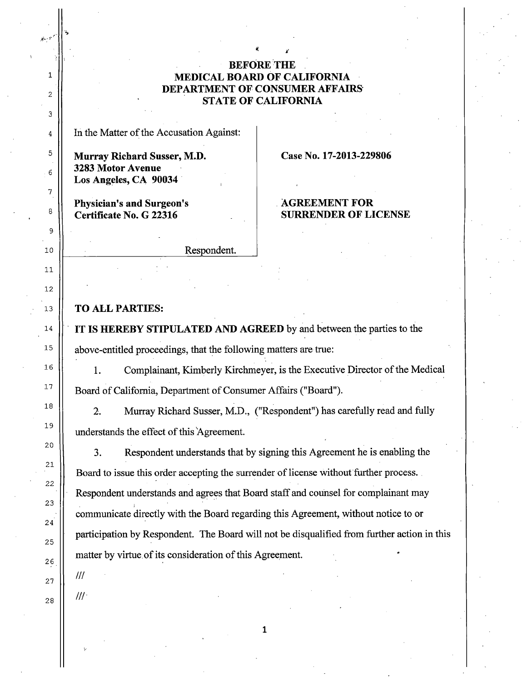## **BEFORE THE MEDICAL BOARD OF CALIFORNIA DEPARTMENT OF CONSUMER AFFAIRS" STATE OF CALIFORNIA**

In the Matter of the Accusation Against:

**Murray Richard Susser, M.D. 3283 Motor Avenue Los Angeles, CA <sup>90034</sup>**

**Physician's and Surgeon's Certificate No. G 22316** 

**Case No. 17-2013-229806** 

## **AGREEMENT FOR SURRENDER OF LICENSE**

Respondent.

## **TO ALL PARTIES:**

**IT IS HEREBY STIPULATED AND AGREED** by and between the parties to the above-entitled proceedings, that the following matters are true:

**1.** Complainant, Kimberly Kirchmeyer, is the Executive Director of the Medical Board of California, Department of Consumer Affairs ("Board").

2. Murray Richard Susser, M.D., ("Respondent") has carefully read and fully understands the effect of this 'Agreement.

3. Respondent understands that by signing this Agreement he is enabling the Board to issue this order accepting the surrender of license without further process. Respondent understands and agrees that Board staff and counsel for complainant may communicate directly with the Board regarding this Agreement, without notice to or participation by Respondent. The Board will not be disqualified from further action in this matter by virtue. of its consideration of this Agreement.

**1** 

Ill

 $III$ 

*.# ...* -1'"r··

1

2

3

4

5

6

7

·c~

. .\_.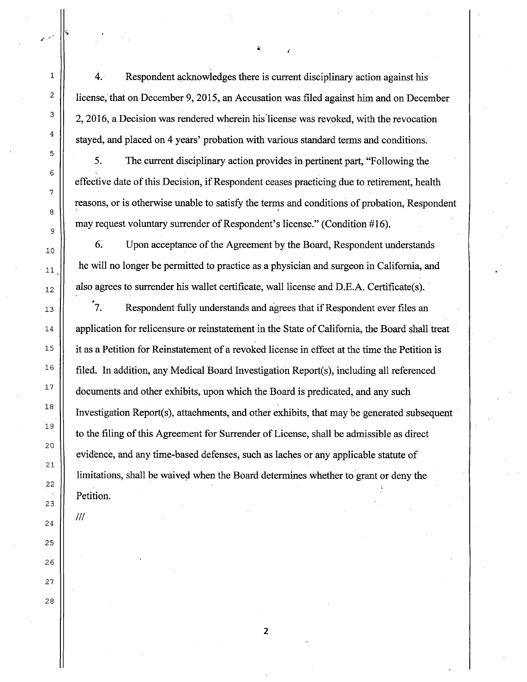4. Respondent acknowledges there is current disciplinary action against his license, that on December 9, 2015, an Accusation was filed against him and on December 2, 2016, a Decision was rendered wherein his"license was revoked, with the revocation stayed, and placed on 4 years' probation with various standard terms and conditions.

*<sup>i</sup>*

5. The current disciplinary action provides in pertinent part, "Following the effective date of this Decision, if Respondent ceases practicing due to retirement, health reasons, or is otherwise unable to satisfy the terms and conditions of probation, Respondent may request voluntary surrender of Respondent's license." (Condition #16).

6. Upon acceptance of the Agreement by the Board, Respondent understands he will no longer be permitted to practice as a physician and surgeon in California, and also agrees to surrender his wallet certificate, wall license and D.E.A. Certificate(s).

 $"7.$ Respondent fully understands and agrees that if Respondent ever files an application for relicensure or reinstatement in the State of California, the Board shall treat it as a Petition for Reinstatement of a revoked license in effect at the time the Petition is filed. In addition, any Medical Board Investigation Report(s), including all referenced documents and other exhibits, upon which the Board is predicated, and any such Investigation Report(s), attachments, and other exhibits, that may be generated subsequent to the filing of this Agreement for Surrender of License, shall be admissible as direct evidence, and any time-based defenses, such as laches or any applicable statute of limitations, shall be waived when the Board determines whether to grant or deny the Petition.

Ill

27

28

1

2

3

4

5

6

7

8

9

10

. 11

12

2